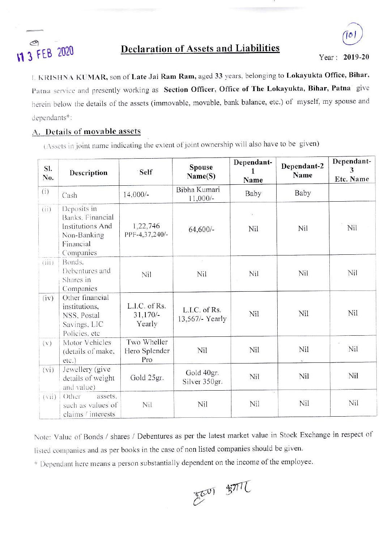

## **Declaration of Assets and Liabilities**

Year: 2019-20

I. KRISHNA KUMAR, son of Late Jai Ram Ram, aged 33 years, belonging to Lokayukta Office, Bihar, Patna service and presently working as Section Officer, Office of The Lokayukta, Bihar, Patna give herein below the details of the assets (immovable, movable, bank balance, etc.) of myself, my spouse and dependants\*:

## A. Details of movable assets

(Assets in joint name indicating the extent of joint ownership will also have to be given)

| SI.<br>No.        | Description                                                                                  | <b>Self</b>                           | Spouse<br>Name(S)                | Dependant-<br>Name | Dependant-2<br>Name | Dependant-<br>3<br><b>Etc. Name</b> |
|-------------------|----------------------------------------------------------------------------------------------|---------------------------------------|----------------------------------|--------------------|---------------------|-------------------------------------|
| (i)               | Cash                                                                                         | $14,000/-$                            | Bibha Kumari<br>$11,000/-$       | Baby               | Baby                |                                     |
| (ii)              | Deposits in<br>Banks, Financial<br>Institutions And<br>Non-Banking<br>Financial<br>Companies | 1,22,746<br>PPF-4,37,240/-            | 64,600/-                         | 馁<br>Nil           | Nil                 | Nil                                 |
| (iii)             | Bonds.<br>Debentures and<br>Shares in<br>Companies                                           | Nil                                   | Œ.<br>Nil                        | Nil                | Nil                 | Nil                                 |
| (iv)              | Other financial<br>institutions,<br>NSS, Postal<br>Savings, LIC<br>Policies, etc             | L.I.C. of Rs.<br>$31,170/-$<br>Yearly | L.I.C. of Rs.<br>13,567/- Yearly | Nil                | Nil                 | Nil                                 |
| (v)               | Motor Vehicles<br>(details of make,<br>etc.)                                                 | Two Wheller<br>Hero Splender<br>Pro   | Nil                              | Nil                | Nil                 | Nil                                 |
| (v <sub>i</sub> ) | Jewellery (give<br>details of weight<br>and value)                                           | Gold 25gr.                            | Gold 40gr.<br>Silver 350gr.      | Nil                | Nil                 | Nil                                 |
| (vii)             | Other<br>assets.<br>such as values of<br>claims / interests                                  | Nil                                   | Nil                              | $\sim$<br>Nil      | Nil                 | Nil                                 |

Note: Value of Bonds / shares / Debentures as per the latest market value in Stock Exchange in respect of listed companies and as per books in the case of non listed companies should be given.

\* Dependant here means a person substantially dependent on the income of the employee.

 $E^{(0)}$   $\frac{1}{2}$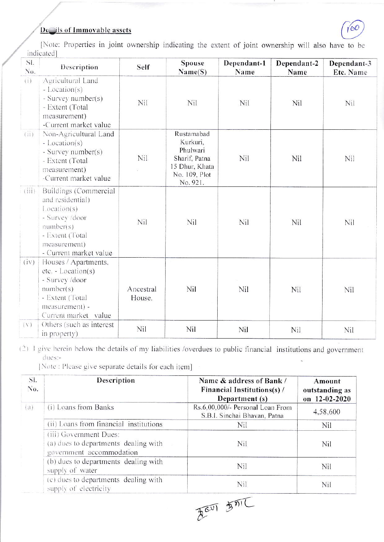## De ils of Immovable assets



[Note: Properties in joint ownership indicating the extent of joint ownership will also have to be indicatedl

| SI.<br>$N_{0}$ . | Description                                                                                                                                          | Self                | Spouse<br>Name(S)                                                                                  | Dependant-1<br>Name | Dependant-2<br>Name | Dependant-3<br>Etc. Name |
|------------------|------------------------------------------------------------------------------------------------------------------------------------------------------|---------------------|----------------------------------------------------------------------------------------------------|---------------------|---------------------|--------------------------|
| (i)              | Agricultural Land<br>- Location(s)<br>- Survey number(s)<br>- Extent (Total<br>measurement)<br>-Current market value                                 | Nil                 | Nil                                                                                                | Nil                 | Nil                 | Nil                      |
| (ii)             | Non-Agricultural Land<br>$-Location(s)$<br>- Survey number(s)<br>- Extent (Total<br>measurement)<br>-Current market value                            | Nil                 | Rustamabad<br>Kurkuri,<br>Phulwari<br>Sharif, Patna<br>15 Dhur, Khata<br>No. 109, Plot<br>No. 921. | Nil                 | Nil                 | Nil                      |
| (iii)            | Buildings (Commercial<br>and residential)<br>Location(s)<br>- Survey /door<br>number(s)<br>- Extent (Total<br>measurement)<br>- Current market value | Nil                 | Nil                                                                                                | Nil                 | Nil                 | Nil                      |
| (iv)             | Houses / Apartments,<br>$etc. - Location(s)$<br>- Survey /door<br>number(s)<br>- Extent (Total<br>measurement) -<br>Current market value             | Ancestral<br>House. | Nil                                                                                                | Nil                 | Nil                 | Nil                      |
| (1)              | Others (such as interest<br>in property)                                                                                                             | Nil                 | Nil                                                                                                | Nil                 | Nil                 | Nil                      |

(2) I give herein below the details of my liabilities /overdues to public financial institutions and government dues:-

[Note: Please give separate details for each item]

| SI.<br>No. | Description                                                                                | Name & address of Bank /<br>Financial Institutions(s) /<br>Department (s) | Amount<br>outstanding as<br>on 12-02-2020 |
|------------|--------------------------------------------------------------------------------------------|---------------------------------------------------------------------------|-------------------------------------------|
| (a)        | (i) Loans from Banks                                                                       | Rs.6,00,000/- Personal Loan From<br>S.B.I. Sinchai Bhavan, Patna          | 4,58,600                                  |
|            | (ii) Loans from financial institutions                                                     | Nil                                                                       | Nil                                       |
|            | (iii) Government Dues:<br>(a) dues to departments dealing with<br>government accommodation | Nil                                                                       | Nil                                       |
|            | (b) dues to departments dealing with<br>supply of water                                    | Nil                                                                       | Nil                                       |
|            | (c) dues to departments dealing with<br>supply of electricity                              | Nil                                                                       | Nil                                       |
|            |                                                                                            | AouT STIL                                                                 |                                           |